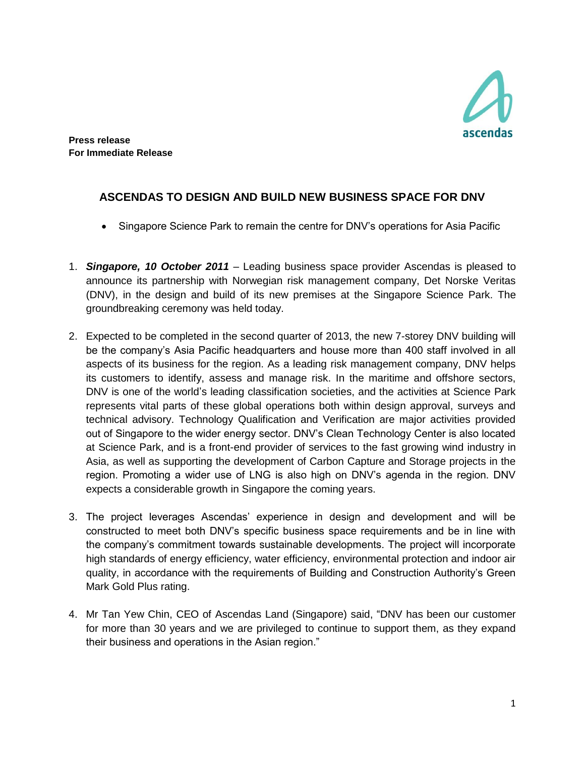

**Press release For Immediate Release**

## **ASCENDAS TO DESIGN AND BUILD NEW BUSINESS SPACE FOR DNV**

- Singapore Science Park to remain the centre for DNV's operations for Asia Pacific
- 1. *Singapore, 10 October 2011* Leading business space provider Ascendas is pleased to announce its partnership with Norwegian risk management company, Det Norske Veritas (DNV), in the design and build of its new premises at the Singapore Science Park. The groundbreaking ceremony was held today.
- 2. Expected to be completed in the second quarter of 2013, the new 7-storey DNV building will be the company's Asia Pacific headquarters and house more than 400 staff involved in all aspects of its business for the region. As a leading risk management company, DNV helps its customers to identify, assess and manage risk. In the maritime and offshore sectors, DNV is one of the world's leading classification societies, and the activities at Science Park represents vital parts of these global operations both within design approval, surveys and technical advisory. Technology Qualification and Verification are major activities provided out of Singapore to the wider energy sector. DNV's Clean Technology Center is also located at Science Park, and is a front-end provider of services to the fast growing wind industry in Asia, as well as supporting the development of Carbon Capture and Storage projects in the region. Promoting a wider use of LNG is also high on DNV's agenda in the region. DNV expects a considerable growth in Singapore the coming years.
- 3. The project leverages Ascendas' experience in design and development and will be constructed to meet both DNV's specific business space requirements and be in line with the company's commitment towards sustainable developments. The project will incorporate high standards of energy efficiency, water efficiency, environmental protection and indoor air quality, in accordance with the requirements of Building and Construction Authority's Green Mark Gold Plus rating.
- 4. Mr Tan Yew Chin, CEO of Ascendas Land (Singapore) said, "DNV has been our customer for more than 30 years and we are privileged to continue to support them, as they expand their business and operations in the Asian region."